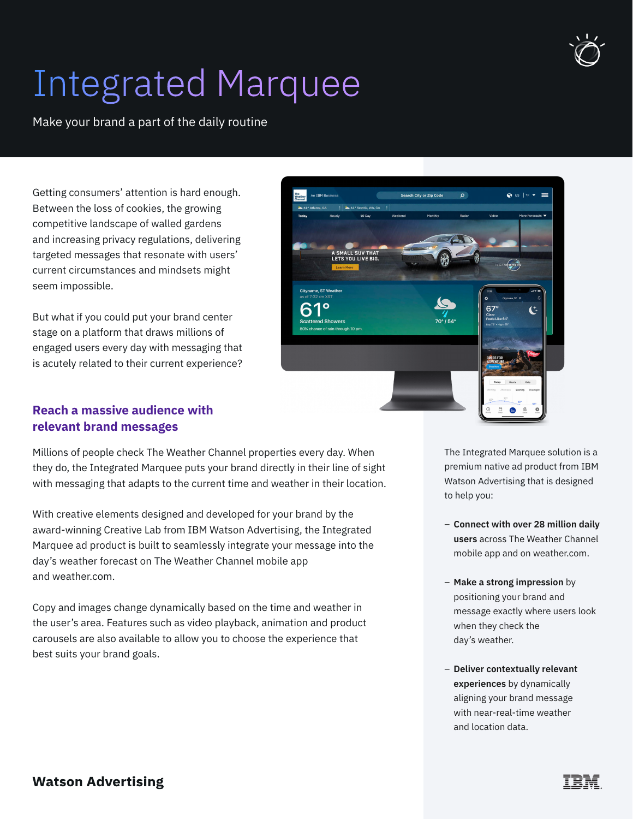

## Integrated Marquee

Make your brand a part of the daily routine

Getting consumers' attention is hard enough. Between the loss of cookies, the growing competitive landscape of walled gardens and increasing privacy regulations, delivering targeted messages that resonate with users' current circumstances and mindsets might seem impossible.

But what if you could put your brand center stage on a platform that draws millions of engaged users every day with messaging that is acutely related to their current experience?



## **Reach a massive audience with relevant brand messages**

Millions of people check The Weather Channel properties every day. When they do, the Integrated Marquee puts your brand directly in their line of sight with messaging that adapts to the current time and weather in their location.

With creative elements designed and developed for your brand by the award-winning Creative Lab from IBM Watson Advertising, the Integrated Marquee ad product is built to seamlessly integrate your message into the day's weather forecast on The Weather Channel mobile app and weather.com.

Copy and images change dynamically based on the time and weather in the user's area. Features such as video playback, animation and product carousels are also available to allow you to choose the experience that best suits your brand goals.

The Integrated Marquee solution is a premium native ad product from IBM Watson Advertising that is designed to help you:

- **Connect with over 28 million daily users** across The Weather Channel mobile app and on weather.com.
- **Make a strong impression** by positioning your brand and message exactly where users look when they check the day's weather.
- **Deliver contextually relevant experiences** by dynamically aligning your brand message with near-real-time weather and location data.